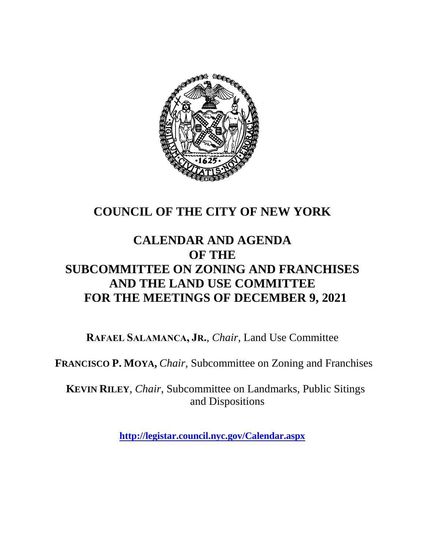

# **COUNCIL OF THE CITY OF NEW YORK**

# **CALENDAR AND AGENDA OF THE SUBCOMMITTEE ON ZONING AND FRANCHISES AND THE LAND USE COMMITTEE FOR THE MEETINGS OF DECEMBER 9, 2021**

**RAFAEL SALAMANCA, JR.**, *Chair*, Land Use Committee

**FRANCISCO P. MOYA,** *Chair,* Subcommittee on Zoning and Franchises

**KEVIN RILEY**, *Chair*, Subcommittee on Landmarks, Public Sitings and Dispositions

**<http://legistar.council.nyc.gov/Calendar.aspx>**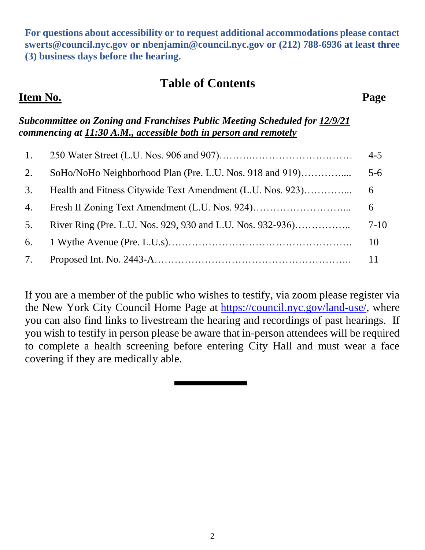**For questions about accessibility or to request additional accommodations please contact [swerts@council.nyc.gov](mailto:swerts@council.nyc.gov) or [nbenjamin@council.nyc.gov](mailto:nbenjamin@council.nyc.gov) or (212) 788-6936 at least three (3) business days before the hearing.**

# **Table of Contents**

#### *Subcommittee on Zoning and Franchises Public Meeting Scheduled for 12/9/21 commencing at 11:30 A.M., accessible both in person and remotely*

|    |                                                            | $4 - 5$ |
|----|------------------------------------------------------------|---------|
| 2. | SoHo/NoHo Neighborhood Plan (Pre. L.U. Nos. 918 and 919)   | $5-6$   |
| 3. | Health and Fitness Citywide Text Amendment (L.U. Nos. 923) | 6       |
| 4. |                                                            | 6       |
| 5. |                                                            | $7-10$  |
| 6. |                                                            | 10      |
| 7. |                                                            |         |

If you are a member of the public who wishes to testify, via zoom please register via the New York City Council Home Page at **https://council.nyc.gov/land-use/**, where you can also find links to livestream the hearing and recordings of past hearings. If you wish to testify in person please be aware that in-person attendees will be required to complete a health screening before entering City Hall and must wear a face covering if they are medically able.

# **Item No. Page**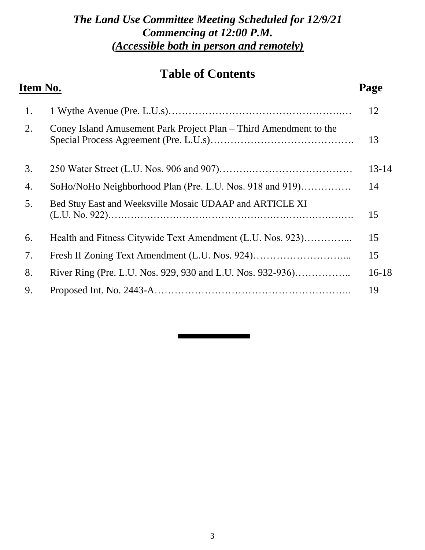# *The Land Use Committee Meeting Scheduled for 12/9/21 Commencing at 12:00 P.M. (Accessible both in person and remotely)*

# **Table of Contents**

# **Item No. Page**

| 1. |                                                                   | 12        |
|----|-------------------------------------------------------------------|-----------|
| 2. | Coney Island Amusement Park Project Plan – Third Amendment to the | 13        |
| 3. |                                                                   | $13 - 14$ |
| 4. | SoHo/NoHo Neighborhood Plan (Pre. L.U. Nos. 918 and 919)          | 14        |
| 5. | Bed Stuy East and Weeksville Mosaic UDAAP and ARTICLE XI          | 15        |
| 6. | Health and Fitness Citywide Text Amendment (L.U. Nos. 923)        | 15        |
| 7. |                                                                   | 15        |
| 8. | River Ring (Pre. L.U. Nos. 929, 930 and L.U. Nos. 932-936)        | $16-18$   |
| 9. |                                                                   | 19        |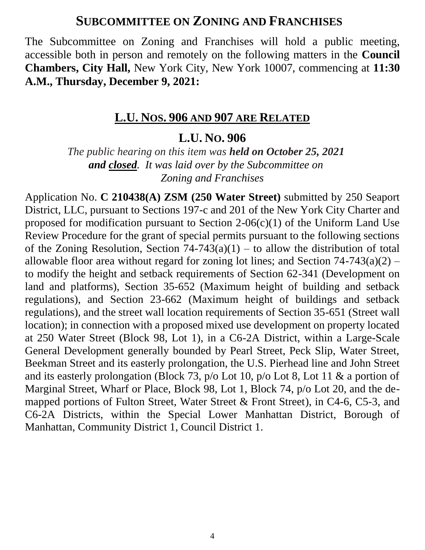### **SUBCOMMITTEE ON ZONING AND FRANCHISES**

The Subcommittee on Zoning and Franchises will hold a public meeting, accessible both in person and remotely on the following matters in the **Council Chambers, City Hall,** New York City, New York 10007, commencing at **11:30 A.M., Thursday, December 9, 2021:**

#### **L.U. NOS. 906 AND 907 ARE RELATED**

### **L.U. NO. 906**

*The public hearing on this item was held on October 25, 2021 and closed. It was laid over by the Subcommittee on Zoning and Franchises*

Application No. **C 210438(A) ZSM (250 Water Street)** submitted by 250 Seaport District, LLC, pursuant to Sections 197-c and 201 of the New York City Charter and proposed for modification pursuant to Section  $2\n-06(c)(1)$  of the Uniform Land Use Review Procedure for the grant of special permits pursuant to the following sections of the Zoning Resolution, Section  $74-743(a)(1)$  – to allow the distribution of total allowable floor area without regard for zoning lot lines; and Section  $74-743(a)(2)$  – to modify the height and setback requirements of Section 62-341 (Development on land and platforms), Section 35-652 (Maximum height of building and setback regulations), and Section 23-662 (Maximum height of buildings and setback regulations), and the street wall location requirements of Section 35-651 (Street wall location); in connection with a proposed mixed use development on property located at 250 Water Street (Block 98, Lot 1), in a C6-2A District, within a Large-Scale General Development generally bounded by Pearl Street, Peck Slip, Water Street, Beekman Street and its easterly prolongation, the U.S. Pierhead line and John Street and its easterly prolongation (Block 73, p/o Lot 10, p/o Lot 8, Lot 11 & a portion of Marginal Street, Wharf or Place, Block 98, Lot 1, Block 74, p/o Lot 20, and the demapped portions of Fulton Street, Water Street & Front Street), in C4-6, C5-3, and C6-2A Districts, within the Special Lower Manhattan District, Borough of Manhattan, Community District 1, Council District 1.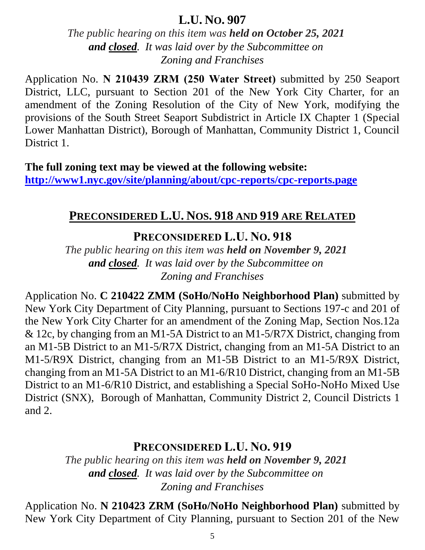*The public hearing on this item was held on October 25, 2021 and closed. It was laid over by the Subcommittee on Zoning and Franchises*

Application No. **N 210439 ZRM (250 Water Street)** submitted by 250 Seaport District, LLC, pursuant to Section 201 of the New York City Charter, for an amendment of the Zoning Resolution of the City of New York, modifying the provisions of the South Street Seaport Subdistrict in Article IX Chapter 1 (Special Lower Manhattan District), Borough of Manhattan, Community District 1, Council District 1.

**The full zoning text may be viewed at the following website: <http://www1.nyc.gov/site/planning/about/cpc-reports/cpc-reports.page>**

### **PRECONSIDERED L.U. NOS. 918 AND 919 ARE RELATED**

**PRECONSIDERED L.U. NO. 918**

*The public hearing on this item was held on November 9, 2021 and closed. It was laid over by the Subcommittee on Zoning and Franchises*

Application No. **C 210422 ZMM (SoHo/NoHo Neighborhood Plan)** submitted by New York City Department of City Planning, pursuant to Sections 197-c and 201 of the New York City Charter for an amendment of the Zoning Map, Section Nos.12a & 12c, by changing from an M1-5A District to an M1-5/R7X District, changing from an M1-5B District to an M1-5/R7X District, changing from an M1-5A District to an M1-5/R9X District, changing from an M1-5B District to an M1-5/R9X District, changing from an M1-5A District to an M1-6/R10 District, changing from an M1-5B District to an M1-6/R10 District, and establishing a Special SoHo-NoHo Mixed Use District (SNX), Borough of Manhattan, Community District 2, Council Districts 1 and 2.

### **PRECONSIDERED L.U. NO. 919**

*The public hearing on this item was held on November 9, 2021 and closed. It was laid over by the Subcommittee on Zoning and Franchises*

Application No. **N 210423 ZRM (SoHo/NoHo Neighborhood Plan)** submitted by New York City Department of City Planning, pursuant to Section 201 of the New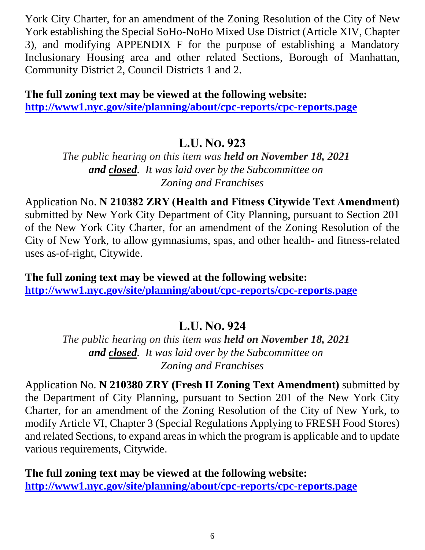York City Charter, for an amendment of the Zoning Resolution of the City of New York establishing the Special SoHo-NoHo Mixed Use District (Article XIV, Chapter 3), and modifying APPENDIX F for the purpose of establishing a Mandatory Inclusionary Housing area and other related Sections, Borough of Manhattan, Community District 2, Council Districts 1 and 2.

**The full zoning text may be viewed at the following website: <http://www1.nyc.gov/site/planning/about/cpc-reports/cpc-reports.page>**

# **L.U. NO. 923**

*The public hearing on this item was held on November 18, 2021 and closed. It was laid over by the Subcommittee on Zoning and Franchises*

Application No. **N 210382 ZRY (Health and Fitness Citywide Text Amendment)** submitted by New York City Department of City Planning, pursuant to Section 201 of the New York City Charter, for an amendment of the Zoning Resolution of the City of New York, to allow gymnasiums, spas, and other health- and fitness-related uses as-of-right, Citywide.

**The full zoning text may be viewed at the following website: <http://www1.nyc.gov/site/planning/about/cpc-reports/cpc-reports.page>**

# **L.U. NO. 924**

*The public hearing on this item was held on November 18, 2021 and closed. It was laid over by the Subcommittee on Zoning and Franchises*

Application No. **N 210380 ZRY (Fresh II Zoning Text Amendment)** submitted by the Department of City Planning, pursuant to Section 201 of the New York City Charter, for an amendment of the Zoning Resolution of the City of New York, to modify Article VI, Chapter 3 (Special Regulations Applying to FRESH Food Stores) and related Sections, to expand areas in which the program is applicable and to update various requirements, Citywide.

**The full zoning text may be viewed at the following website: http://www1.nyc.gov/site/planning/about/cpc-reports/cpc-reports.page**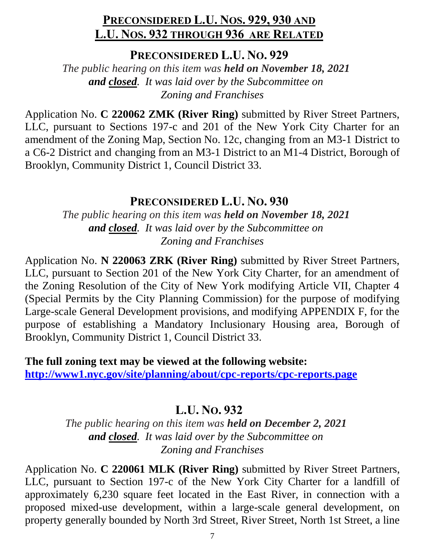# **PRECONSIDERED L.U. NOS. 929, 930 AND L.U. NOS. 932 THROUGH 936 ARE RELATED**

**PRECONSIDERED L.U. NO. 929**

*The public hearing on this item was held on November 18, 2021 and closed. It was laid over by the Subcommittee on Zoning and Franchises*

Application No. **C 220062 ZMK (River Ring)** submitted by River Street Partners, LLC, pursuant to Sections 197-c and 201 of the New York City Charter for an amendment of the Zoning Map, Section No. 12c, changing from an M3-1 District to a C6-2 District and changing from an M3-1 District to an M1-4 District, Borough of Brooklyn, Community District 1, Council District 33.

### **PRECONSIDERED L.U. NO. 930**

*The public hearing on this item was held on November 18, 2021 and closed. It was laid over by the Subcommittee on Zoning and Franchises*

Application No. **N 220063 ZRK (River Ring)** submitted by River Street Partners, LLC, pursuant to Section 201 of the New York City Charter, for an amendment of the Zoning Resolution of the City of New York modifying Article VII, Chapter 4 (Special Permits by the City Planning Commission) for the purpose of modifying Large-scale General Development provisions, and modifying APPENDIX F, for the purpose of establishing a Mandatory Inclusionary Housing area, Borough of Brooklyn, Community District 1, Council District 33.

**The full zoning text may be viewed at the following website: <http://www1.nyc.gov/site/planning/about/cpc-reports/cpc-reports.page>**

# **L.U. NO. 932**

*The public hearing on this item was held on December 2, 2021 and closed. It was laid over by the Subcommittee on Zoning and Franchises*

Application No. **C 220061 MLK (River Ring)** submitted by River Street Partners, LLC, pursuant to Section 197-c of the New York City Charter for a landfill of approximately 6,230 square feet located in the East River, in connection with a proposed mixed-use development, within a large-scale general development, on property generally bounded by North 3rd Street, River Street, North 1st Street, a line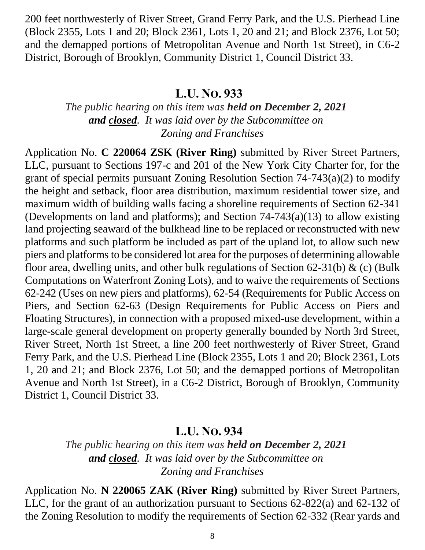200 feet northwesterly of River Street, Grand Ferry Park, and the U.S. Pierhead Line (Block 2355, Lots 1 and 20; Block 2361, Lots 1, 20 and 21; and Block 2376, Lot 50; and the demapped portions of Metropolitan Avenue and North 1st Street), in C6-2 District, Borough of Brooklyn, Community District 1, Council District 33.

### **L.U. NO. 933**

### *The public hearing on this item was held on December 2, 2021 and closed. It was laid over by the Subcommittee on Zoning and Franchises*

Application No. **C 220064 ZSK (River Ring)** submitted by River Street Partners, LLC, pursuant to Sections 197-c and 201 of the New York City Charter for, for the grant of special permits pursuant Zoning Resolution Section 74-743(a)(2) to modify the height and setback, floor area distribution, maximum residential tower size, and maximum width of building walls facing a shoreline requirements of Section 62-341 (Developments on land and platforms); and Section 74-743(a)(13) to allow existing land projecting seaward of the bulkhead line to be replaced or reconstructed with new platforms and such platform be included as part of the upland lot, to allow such new piers and platforms to be considered lot area for the purposes of determining allowable floor area, dwelling units, and other bulk regulations of Section 62-31(b)  $\&$  (c) (Bulk Computations on Waterfront Zoning Lots), and to waive the requirements of Sections 62-242 (Uses on new piers and platforms), 62-54 (Requirements for Public Access on Piers, and Section 62-63 (Design Requirements for Public Access on Piers and Floating Structures), in connection with a proposed mixed-use development, within a large-scale general development on property generally bounded by North 3rd Street, River Street, North 1st Street, a line 200 feet northwesterly of River Street, Grand Ferry Park, and the U.S. Pierhead Line (Block 2355, Lots 1 and 20; Block 2361, Lots 1, 20 and 21; and Block 2376, Lot 50; and the demapped portions of Metropolitan Avenue and North 1st Street), in a C6-2 District, Borough of Brooklyn, Community District 1, Council District 33.

# **L.U. NO. 934**

*The public hearing on this item was held on December 2, 2021 and closed. It was laid over by the Subcommittee on Zoning and Franchises*

Application No. **N 220065 ZAK (River Ring)** submitted by River Street Partners, LLC, for the grant of an authorization pursuant to Sections 62-822(a) and 62-132 of the Zoning Resolution to modify the requirements of Section 62-332 (Rear yards and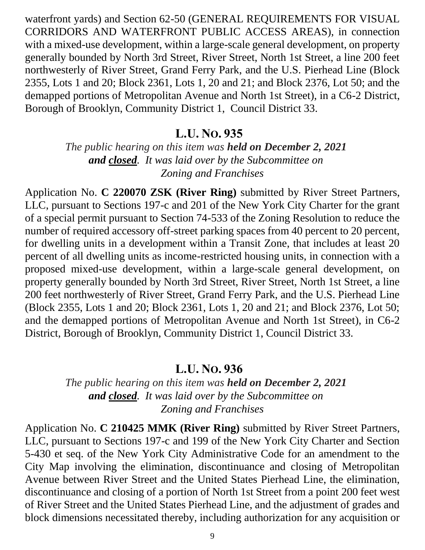waterfront yards) and Section 62-50 (GENERAL REQUIREMENTS FOR VISUAL CORRIDORS AND WATERFRONT PUBLIC ACCESS AREAS), in connection with a mixed-use development, within a large-scale general development, on property generally bounded by North 3rd Street, River Street, North 1st Street, a line 200 feet northwesterly of River Street, Grand Ferry Park, and the U.S. Pierhead Line (Block 2355, Lots 1 and 20; Block 2361, Lots 1, 20 and 21; and Block 2376, Lot 50; and the demapped portions of Metropolitan Avenue and North 1st Street), in a C6-2 District, Borough of Brooklyn, Community District 1, Council District 33.

### **L.U. NO. 935**

*The public hearing on this item was held on December 2, 2021 and closed. It was laid over by the Subcommittee on Zoning and Franchises*

Application No. **C 220070 ZSK (River Ring)** submitted by River Street Partners, LLC, pursuant to Sections 197-c and 201 of the New York City Charter for the grant of a special permit pursuant to Section 74-533 of the Zoning Resolution to reduce the number of required accessory off-street parking spaces from 40 percent to 20 percent, for dwelling units in a development within a Transit Zone, that includes at least 20 percent of all dwelling units as income-restricted housing units, in connection with a proposed mixed-use development, within a large-scale general development, on property generally bounded by North 3rd Street, River Street, North 1st Street, a line 200 feet northwesterly of River Street, Grand Ferry Park, and the U.S. Pierhead Line (Block 2355, Lots 1 and 20; Block 2361, Lots 1, 20 and 21; and Block 2376, Lot 50; and the demapped portions of Metropolitan Avenue and North 1st Street), in C6-2 District, Borough of Brooklyn, Community District 1, Council District 33.

### **L.U. NO. 936**

*The public hearing on this item was held on December 2, 2021 and closed. It was laid over by the Subcommittee on Zoning and Franchises*

Application No. **C 210425 MMK (River Ring)** submitted by River Street Partners, LLC, pursuant to Sections 197-c and 199 of the New York City Charter and Section 5-430 et seq. of the New York City Administrative Code for an amendment to the City Map involving the elimination, discontinuance and closing of Metropolitan Avenue between River Street and the United States Pierhead Line, the elimination, discontinuance and closing of a portion of North 1st Street from a point 200 feet west of River Street and the United States Pierhead Line, and the adjustment of grades and block dimensions necessitated thereby, including authorization for any acquisition or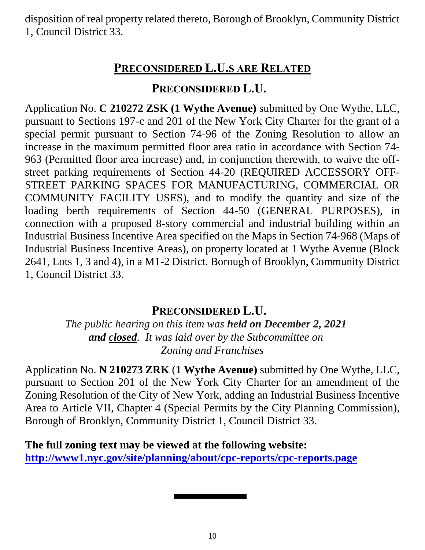disposition of real property related thereto, Borough of Brooklyn, Community District 1, Council District 33.

# **PRECONSIDERED L.U.S ARE RELATED**

### **PRECONSIDERED L.U.**

Application No. **C 210272 ZSK (1 Wythe Avenue)** submitted by One Wythe, LLC, pursuant to Sections 197-c and 201 of the New York City Charter for the grant of a special permit pursuant to Section 74-96 of the Zoning Resolution to allow an increase in the maximum permitted floor area ratio in accordance with Section 74- 963 (Permitted floor area increase) and, in conjunction therewith, to waive the offstreet parking requirements of Section 44-20 (REQUIRED ACCESSORY OFF-STREET PARKING SPACES FOR MANUFACTURING, COMMERCIAL OR COMMUNITY FACILITY USES), and to modify the quantity and size of the loading berth requirements of Section 44-50 (GENERAL PURPOSES), in connection with a proposed 8-story commercial and industrial building within an Industrial Business Incentive Area specified on the Maps in Section 74-968 (Maps of Industrial Business Incentive Areas), on property located at 1 Wythe Avenue (Block 2641, Lots 1, 3 and 4), in a M1-2 District. Borough of Brooklyn, Community District 1, Council District 33.

# **PRECONSIDERED L.U.**

*The public hearing on this item was held on December 2, 2021 and closed. It was laid over by the Subcommittee on Zoning and Franchises*

Application No. **N 210273 ZRK** (**1 Wythe Avenue)** submitted by One Wythe, LLC, pursuant to Section 201 of the New York City Charter for an amendment of the Zoning Resolution of the City of New York, adding an Industrial Business Incentive Area to Article VII, Chapter 4 (Special Permits by the City Planning Commission), Borough of Brooklyn, Community District 1, Council District 33.

**The full zoning text may be viewed at the following website: <http://www1.nyc.gov/site/planning/about/cpc-reports/cpc-reports.page>**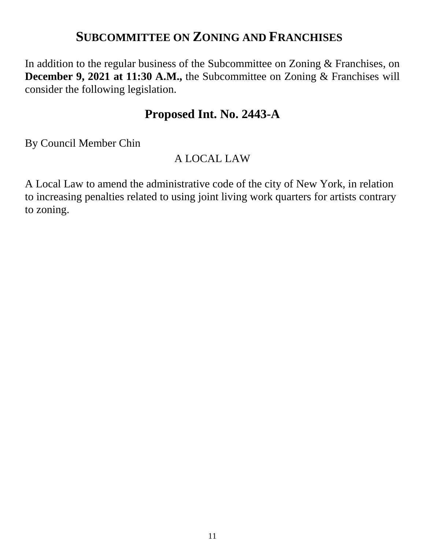# **SUBCOMMITTEE ON ZONING AND FRANCHISES**

In addition to the regular business of the Subcommittee on Zoning & Franchises, on **December 9, 2021 at 11:30 A.M., the Subcommittee on Zoning & Franchises will** consider the following legislation.

# **Proposed Int. No. 2443-A**

By Council Member Chin

### A LOCAL LAW

A Local Law to amend the administrative code of the city of New York, in relation to increasing penalties related to using joint living work quarters for artists contrary to zoning.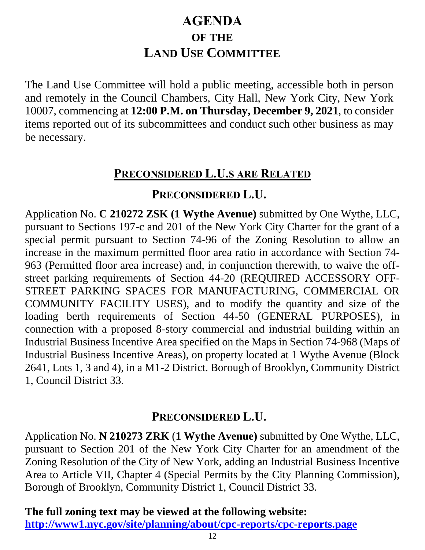# **AGENDA OF THE LAND USE COMMITTEE**

The Land Use Committee will hold a public meeting, accessible both in person and remotely in the Council Chambers, City Hall, New York City, New York 10007, commencing at **12:00 P.M. on Thursday, December 9, 2021**, to consider items reported out of its subcommittees and conduct such other business as may be necessary.

### **PRECONSIDERED L.U.S ARE RELATED**

### **PRECONSIDERED L.U.**

Application No. **C 210272 ZSK (1 Wythe Avenue)** submitted by One Wythe, LLC, pursuant to Sections 197-c and 201 of the New York City Charter for the grant of a special permit pursuant to Section 74-96 of the Zoning Resolution to allow an increase in the maximum permitted floor area ratio in accordance with Section 74- 963 (Permitted floor area increase) and, in conjunction therewith, to waive the offstreet parking requirements of Section 44-20 (REQUIRED ACCESSORY OFF-STREET PARKING SPACES FOR MANUFACTURING, COMMERCIAL OR COMMUNITY FACILITY USES), and to modify the quantity and size of the loading berth requirements of Section 44-50 (GENERAL PURPOSES), in connection with a proposed 8-story commercial and industrial building within an Industrial Business Incentive Area specified on the Maps in Section 74-968 (Maps of Industrial Business Incentive Areas), on property located at 1 Wythe Avenue (Block 2641, Lots 1, 3 and 4), in a M1-2 District. Borough of Brooklyn, Community District 1, Council District 33.

# **PRECONSIDERED L.U.**

Application No. **N 210273 ZRK** (**1 Wythe Avenue)** submitted by One Wythe, LLC, pursuant to Section 201 of the New York City Charter for an amendment of the Zoning Resolution of the City of New York, adding an Industrial Business Incentive Area to Article VII, Chapter 4 (Special Permits by the City Planning Commission), Borough of Brooklyn, Community District 1, Council District 33.

**The full zoning text may be viewed at the following website:**

**<http://www1.nyc.gov/site/planning/about/cpc-reports/cpc-reports.page>**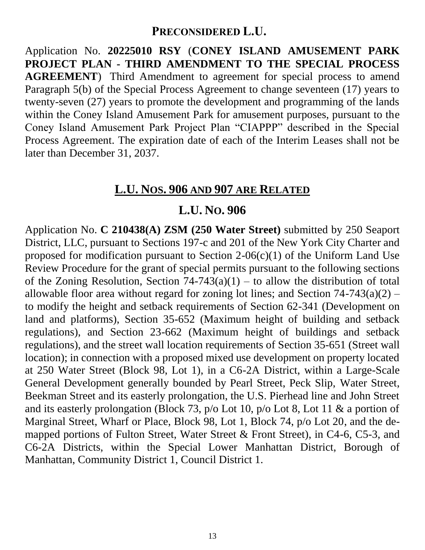# **PRECONSIDERED L.U.**

Application No. **20225010 RSY** (**CONEY ISLAND AMUSEMENT PARK PROJECT PLAN - THIRD AMENDMENT TO THE SPECIAL PROCESS AGREEMENT**) Third Amendment to agreement for special process to amend Paragraph 5(b) of the Special Process Agreement to change seventeen (17) years to twenty-seven (27) years to promote the development and programming of the lands within the Coney Island Amusement Park for amusement purposes, pursuant to the Coney Island Amusement Park Project Plan "CIAPPP" described in the Special Process Agreement. The expiration date of each of the Interim Leases shall not be later than December 31, 2037.

# **L.U. NOS. 906 AND 907 ARE RELATED**

# **L.U. NO. 906**

Application No. **C 210438(A) ZSM (250 Water Street)** submitted by 250 Seaport District, LLC, pursuant to Sections 197-c and 201 of the New York City Charter and proposed for modification pursuant to Section  $2\n-06(c)(1)$  of the Uniform Land Use Review Procedure for the grant of special permits pursuant to the following sections of the Zoning Resolution, Section  $74-743(a)(1)$  – to allow the distribution of total allowable floor area without regard for zoning lot lines; and Section  $74-743(a)(2)$  – to modify the height and setback requirements of Section 62-341 (Development on land and platforms), Section 35-652 (Maximum height of building and setback regulations), and Section 23-662 (Maximum height of buildings and setback regulations), and the street wall location requirements of Section 35-651 (Street wall location); in connection with a proposed mixed use development on property located at 250 Water Street (Block 98, Lot 1), in a C6-2A District, within a Large-Scale General Development generally bounded by Pearl Street, Peck Slip, Water Street, Beekman Street and its easterly prolongation, the U.S. Pierhead line and John Street and its easterly prolongation (Block 73, p/o Lot 10, p/o Lot 8, Lot 11 & a portion of Marginal Street, Wharf or Place, Block 98, Lot 1, Block 74, p/o Lot 20, and the demapped portions of Fulton Street, Water Street & Front Street), in C4-6, C5-3, and C6-2A Districts, within the Special Lower Manhattan District, Borough of Manhattan, Community District 1, Council District 1.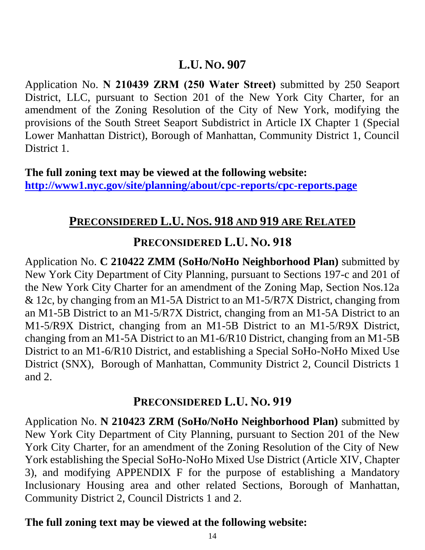Application No. **N 210439 ZRM (250 Water Street)** submitted by 250 Seaport District, LLC, pursuant to Section 201 of the New York City Charter, for an amendment of the Zoning Resolution of the City of New York, modifying the provisions of the South Street Seaport Subdistrict in Article IX Chapter 1 (Special Lower Manhattan District), Borough of Manhattan, Community District 1, Council District 1.

**The full zoning text may be viewed at the following website: <http://www1.nyc.gov/site/planning/about/cpc-reports/cpc-reports.page>**

# **PRECONSIDERED L.U. NOS. 918 AND 919 ARE RELATED**

### **PRECONSIDERED L.U. NO. 918**

Application No. **C 210422 ZMM (SoHo/NoHo Neighborhood Plan)** submitted by New York City Department of City Planning, pursuant to Sections 197-c and 201 of the New York City Charter for an amendment of the Zoning Map, Section Nos.12a & 12c, by changing from an M1-5A District to an M1-5/R7X District, changing from an M1-5B District to an M1-5/R7X District, changing from an M1-5A District to an M1-5/R9X District, changing from an M1-5B District to an M1-5/R9X District, changing from an M1-5A District to an M1-6/R10 District, changing from an M1-5B District to an M1-6/R10 District, and establishing a Special SoHo-NoHo Mixed Use District (SNX), Borough of Manhattan, Community District 2, Council Districts 1 and 2.

### **PRECONSIDERED L.U. NO. 919**

Application No. **N 210423 ZRM (SoHo/NoHo Neighborhood Plan)** submitted by New York City Department of City Planning, pursuant to Section 201 of the New York City Charter, for an amendment of the Zoning Resolution of the City of New York establishing the Special SoHo-NoHo Mixed Use District (Article XIV, Chapter 3), and modifying APPENDIX F for the purpose of establishing a Mandatory Inclusionary Housing area and other related Sections, Borough of Manhattan, Community District 2, Council Districts 1 and 2.

### **The full zoning text may be viewed at the following website:**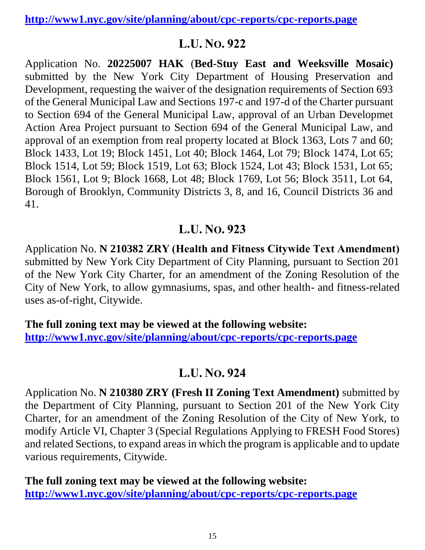**<http://www1.nyc.gov/site/planning/about/cpc-reports/cpc-reports.page>**

# **L.U. NO. 922**

Application No. **20225007 HAK** (**Bed-Stuy East and Weeksville Mosaic)**  submitted by the New York City Department of Housing Preservation and Development, requesting the waiver of the designation requirements of Section 693 of the General Municipal Law and Sections 197-c and 197-d of the Charter pursuant to Section 694 of the General Municipal Law, approval of an Urban Developmet Action Area Project pursuant to Section 694 of the General Municipal Law, and approval of an exemption from real property located at Block 1363, Lots 7 and 60; Block 1433, Lot 19; Block 1451, Lot 40; Block 1464, Lot 79; Block 1474, Lot 65; Block 1514, Lot 59; Block 1519, Lot 63; Block 1524, Lot 43; Block 1531, Lot 65; Block 1561, Lot 9; Block 1668, Lot 48; Block 1769, Lot 56; Block 3511, Lot 64, Borough of Brooklyn, Community Districts 3, 8, and 16, Council Districts 36 and 41.

# **L.U. NO. 923**

Application No. **N 210382 ZRY (Health and Fitness Citywide Text Amendment)** submitted by New York City Department of City Planning, pursuant to Section 201 of the New York City Charter, for an amendment of the Zoning Resolution of the City of New York, to allow gymnasiums, spas, and other health- and fitness-related uses as-of-right, Citywide.

**The full zoning text may be viewed at the following website: <http://www1.nyc.gov/site/planning/about/cpc-reports/cpc-reports.page>**

# **L.U. NO. 924**

Application No. **N 210380 ZRY (Fresh II Zoning Text Amendment)** submitted by the Department of City Planning, pursuant to Section 201 of the New York City Charter, for an amendment of the Zoning Resolution of the City of New York, to modify Article VI, Chapter 3 (Special Regulations Applying to FRESH Food Stores) and related Sections, to expand areas in which the program is applicable and to update various requirements, Citywide.

**The full zoning text may be viewed at the following website: <http://www1.nyc.gov/site/planning/about/cpc-reports/cpc-reports.page>**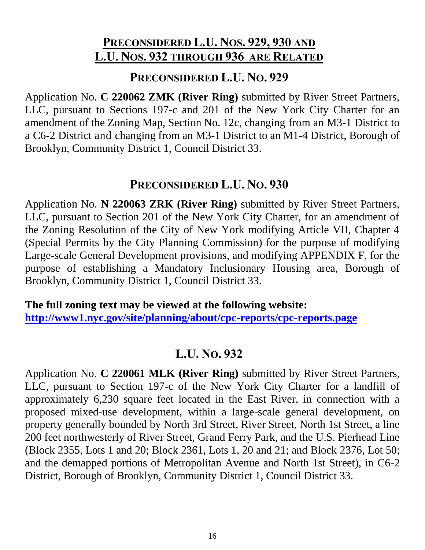# **PRECONSIDERED L.U. NOS. 929, 930 AND L.U. NOS. 932 THROUGH 936 ARE RELATED**

### **PRECONSIDERED L.U. NO. 929**

Application No. **C 220062 ZMK (River Ring)** submitted by River Street Partners, LLC, pursuant to Sections 197-c and 201 of the New York City Charter for an amendment of the Zoning Map, Section No. 12c, changing from an M3-1 District to a C6-2 District and changing from an M3-1 District to an M1-4 District, Borough of Brooklyn, Community District 1, Council District 33.

### **PRECONSIDERED L.U. NO. 930**

Application No. **N 220063 ZRK (River Ring)** submitted by River Street Partners, LLC, pursuant to Section 201 of the New York City Charter, for an amendment of the Zoning Resolution of the City of New York modifying Article VII, Chapter 4 (Special Permits by the City Planning Commission) for the purpose of modifying Large-scale General Development provisions, and modifying APPENDIX F, for the purpose of establishing a Mandatory Inclusionary Housing area, Borough of Brooklyn, Community District 1, Council District 33.

**The full zoning text may be viewed at the following website: <http://www1.nyc.gov/site/planning/about/cpc-reports/cpc-reports.page>**

# **L.U. NO. 932**

Application No. **C 220061 MLK (River Ring)** submitted by River Street Partners, LLC, pursuant to Section 197-c of the New York City Charter for a landfill of approximately 6,230 square feet located in the East River, in connection with a proposed mixed-use development, within a large-scale general development, on property generally bounded by North 3rd Street, River Street, North 1st Street, a line 200 feet northwesterly of River Street, Grand Ferry Park, and the U.S. Pierhead Line (Block 2355, Lots 1 and 20; Block 2361, Lots 1, 20 and 21; and Block 2376, Lot 50; and the demapped portions of Metropolitan Avenue and North 1st Street), in C6-2 District, Borough of Brooklyn, Community District 1, Council District 33.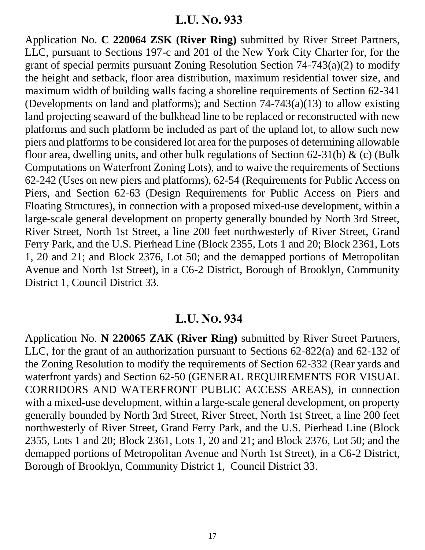Application No. **C 220064 ZSK (River Ring)** submitted by River Street Partners, LLC, pursuant to Sections 197-c and 201 of the New York City Charter for, for the grant of special permits pursuant Zoning Resolution Section 74-743(a)(2) to modify the height and setback, floor area distribution, maximum residential tower size, and maximum width of building walls facing a shoreline requirements of Section 62-341 (Developments on land and platforms); and Section 74-743(a)(13) to allow existing land projecting seaward of the bulkhead line to be replaced or reconstructed with new platforms and such platform be included as part of the upland lot, to allow such new piers and platforms to be considered lot area for the purposes of determining allowable floor area, dwelling units, and other bulk regulations of Section 62-31(b)  $\&$  (c) (Bulk Computations on Waterfront Zoning Lots), and to waive the requirements of Sections 62-242 (Uses on new piers and platforms), 62-54 (Requirements for Public Access on Piers, and Section 62-63 (Design Requirements for Public Access on Piers and Floating Structures), in connection with a proposed mixed-use development, within a large-scale general development on property generally bounded by North 3rd Street, River Street, North 1st Street, a line 200 feet northwesterly of River Street, Grand Ferry Park, and the U.S. Pierhead Line (Block 2355, Lots 1 and 20; Block 2361, Lots 1, 20 and 21; and Block 2376, Lot 50; and the demapped portions of Metropolitan Avenue and North 1st Street), in a C6-2 District, Borough of Brooklyn, Community District 1, Council District 33.

#### **L.U. NO. 934**

Application No. **N 220065 ZAK (River Ring)** submitted by River Street Partners, LLC, for the grant of an authorization pursuant to Sections 62-822(a) and 62-132 of the Zoning Resolution to modify the requirements of Section 62-332 (Rear yards and waterfront yards) and Section 62-50 (GENERAL REQUIREMENTS FOR VISUAL CORRIDORS AND WATERFRONT PUBLIC ACCESS AREAS), in connection with a mixed-use development, within a large-scale general development, on property generally bounded by North 3rd Street, River Street, North 1st Street, a line 200 feet northwesterly of River Street, Grand Ferry Park, and the U.S. Pierhead Line (Block 2355, Lots 1 and 20; Block 2361, Lots 1, 20 and 21; and Block 2376, Lot 50; and the demapped portions of Metropolitan Avenue and North 1st Street), in a C6-2 District, Borough of Brooklyn, Community District 1, Council District 33.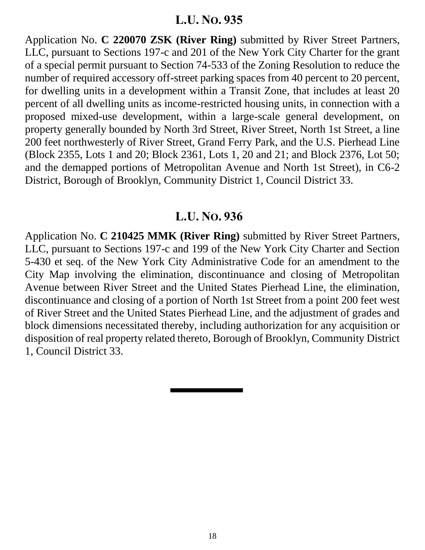Application No. **C 220070 ZSK (River Ring)** submitted by River Street Partners, LLC, pursuant to Sections 197-c and 201 of the New York City Charter for the grant of a special permit pursuant to Section 74-533 of the Zoning Resolution to reduce the number of required accessory off-street parking spaces from 40 percent to 20 percent, for dwelling units in a development within a Transit Zone, that includes at least 20 percent of all dwelling units as income-restricted housing units, in connection with a proposed mixed-use development, within a large-scale general development, on property generally bounded by North 3rd Street, River Street, North 1st Street, a line 200 feet northwesterly of River Street, Grand Ferry Park, and the U.S. Pierhead Line (Block 2355, Lots 1 and 20; Block 2361, Lots 1, 20 and 21; and Block 2376, Lot 50; and the demapped portions of Metropolitan Avenue and North 1st Street), in C6-2 District, Borough of Brooklyn, Community District 1, Council District 33.

### **L.U. NO. 936**

Application No. **C 210425 MMK (River Ring)** submitted by River Street Partners, LLC, pursuant to Sections 197-c and 199 of the New York City Charter and Section 5-430 et seq. of the New York City Administrative Code for an amendment to the City Map involving the elimination, discontinuance and closing of Metropolitan Avenue between River Street and the United States Pierhead Line, the elimination, discontinuance and closing of a portion of North 1st Street from a point 200 feet west of River Street and the United States Pierhead Line, and the adjustment of grades and block dimensions necessitated thereby, including authorization for any acquisition or disposition of real property related thereto, Borough of Brooklyn, Community District 1, Council District 33.